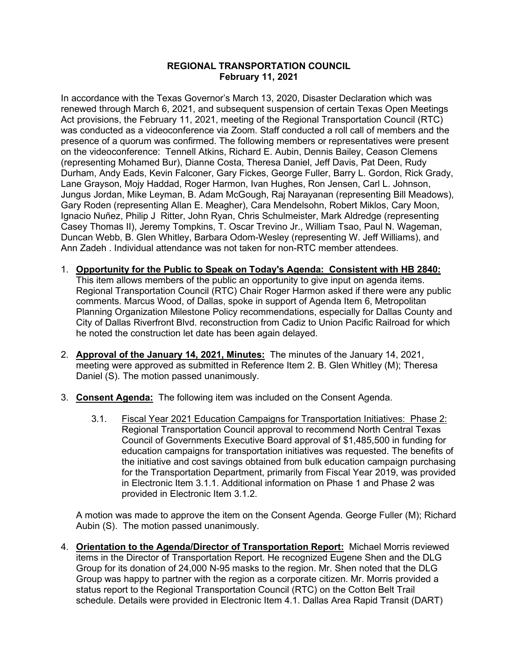## **REGIONAL TRANSPORTATION COUNCIL February 11, 2021**

In accordance with the Texas Governor's March 13, 2020, Disaster Declaration which was renewed through March 6, 2021, and subsequent suspension of certain Texas Open Meetings Act provisions, the February 11, 2021, meeting of the Regional Transportation Council (RTC) was conducted as a videoconference via Zoom. Staff conducted a roll call of members and the presence of a quorum was confirmed. The following members or representatives were present on the videoconference: Tennell Atkins, Richard E. Aubin, Dennis Bailey, Ceason Clemens (representing Mohamed Bur), Dianne Costa, Theresa Daniel, Jeff Davis, Pat Deen, Rudy Durham, Andy Eads, Kevin Falconer, Gary Fickes, George Fuller, Barry L. Gordon, Rick Grady, Lane Grayson, Mojy Haddad, Roger Harmon, Ivan Hughes, Ron Jensen, Carl L. Johnson, Jungus Jordan, Mike Leyman, B. Adam McGough, Raj Narayanan (representing Bill Meadows), Gary Roden (representing Allan E. Meagher), Cara Mendelsohn, Robert Miklos, Cary Moon, Ignacio Nuñez, Philip J Ritter, John Ryan, Chris Schulmeister, Mark Aldredge (representing Casey Thomas II), Jeremy Tompkins, T. Oscar Trevino Jr., William Tsao, Paul N. Wageman, Duncan Webb, B. Glen Whitley, Barbara Odom-Wesley (representing W. Jeff Williams), and Ann Zadeh . Individual attendance was not taken for non-RTC member attendees.

- 1. **Opportunity for the Public to Speak on Today's Agenda: Consistent with HB 2840:** This item allows members of the public an opportunity to give input on agenda items. Regional Transportation Council (RTC) Chair Roger Harmon asked if there were any public comments. Marcus Wood, of Dallas, spoke in support of Agenda Item 6, Metropolitan Planning Organization Milestone Policy recommendations, especially for Dallas County and City of Dallas Riverfront Blvd. reconstruction from Cadiz to Union Pacific Railroad for which he noted the construction let date has been again delayed.
- 2. **Approval of the January 14, 2021, Minutes:** The minutes of the January 14, 2021, meeting were approved as submitted in Reference Item 2. B. Glen Whitley (M); Theresa Daniel (S). The motion passed unanimously.
- 3. **Consent Agenda:** The following item was included on the Consent Agenda.
	- 3.1. Fiscal Year 2021 Education Campaigns for Transportation Initiatives: Phase 2: Regional Transportation Council approval to recommend North Central Texas Council of Governments Executive Board approval of \$1,485,500 in funding for education campaigns for transportation initiatives was requested. The benefits of the initiative and cost savings obtained from bulk education campaign purchasing for the Transportation Department, primarily from Fiscal Year 2019, was provided in Electronic Item 3.1.1. Additional information on Phase 1 and Phase 2 was provided in Electronic Item 3.1.2.

A motion was made to approve the item on the Consent Agenda. George Fuller (M); Richard Aubin (S). The motion passed unanimously.

4. **Orientation to the Agenda/Director of Transportation Report:** Michael Morris reviewed items in the Director of Transportation Report. He recognized Eugene Shen and the DLG Group for its donation of 24,000 N-95 masks to the region. Mr. Shen noted that the DLG Group was happy to partner with the region as a corporate citizen. Mr. Morris provided a status report to the Regional Transportation Council (RTC) on the Cotton Belt Trail schedule. Details were provided in Electronic Item 4.1. Dallas Area Rapid Transit (DART)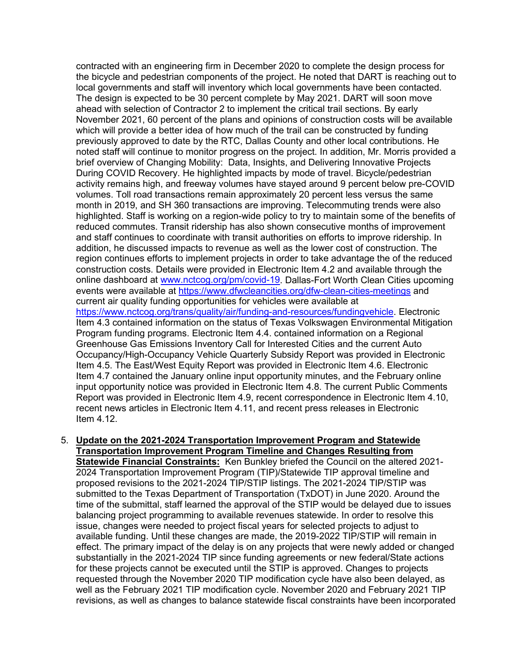contracted with an engineering firm in December 2020 to complete the design process for the bicycle and pedestrian components of the project. He noted that DART is reaching out to local governments and staff will inventory which local governments have been contacted. The design is expected to be 30 percent complete by May 2021. DART will soon move ahead with selection of Contractor 2 to implement the critical trail sections. By early November 2021, 60 percent of the plans and opinions of construction costs will be available which will provide a better idea of how much of the trail can be constructed by funding previously approved to date by the RTC, Dallas County and other local contributions. He noted staff will continue to monitor progress on the project. In addition, Mr. Morris provided a brief overview of Changing Mobility: Data, Insights, and Delivering Innovative Projects During COVID Recovery. He highlighted impacts by mode of travel. Bicycle/pedestrian activity remains high, and freeway volumes have stayed around 9 percent below pre-COVID volumes. Toll road transactions remain approximately 20 percent less versus the same month in 2019, and SH 360 transactions are improving. Telecommuting trends were also highlighted. Staff is working on a region-wide policy to try to maintain some of the benefits of reduced commutes. Transit ridership has also shown consecutive months of improvement and staff continues to coordinate with transit authorities on efforts to improve ridership. In addition, he discussed impacts to revenue as well as the lower cost of construction. The region continues efforts to implement projects in order to take advantage the of the reduced construction costs. Details were provided in Electronic Item 4.2 and available through the online dashboard at [www.nctcog.org/pm/covid-19.](http://www.nctcog.org/pm/covid-19) Dallas-Fort Worth Clean Cities upcoming events were available at<https://www.dfwcleancities.org/dfw-clean-cities-meetings> and current air quality funding opportunities for vehicles were available at [https://www.nctcog.org/trans/quality/air/funding-and-resources/fundingvehicle.](https://www.nctcog.org/trans/quality/air/funding-and-resources/fundingvehicle) Electronic Item 4.3 contained information on the status of Texas Volkswagen Environmental Mitigation Program funding programs. Electronic Item 4.4. contained information on a Regional Greenhouse Gas Emissions Inventory Call for Interested Cities and the current Auto Occupancy/High-Occupancy Vehicle Quarterly Subsidy Report was provided in Electronic Item 4.5. The East/West Equity Report was provided in Electronic Item 4.6. Electronic Item 4.7 contained the January online input opportunity minutes, and the February online input opportunity notice was provided in Electronic Item 4.8. The current Public Comments Report was provided in Electronic Item 4.9, recent correspondence in Electronic Item 4.10, recent news articles in Electronic Item 4.11, and recent press releases in Electronic Item 4.12.

## 5. **Update on the 2021-2024 Transportation Improvement Program and Statewide Transportation Improvement Program Timeline and Changes Resulting from**

**Statewide Financial Constraints:** Ken Bunkley briefed the Council on the altered 2021- 2024 Transportation Improvement Program (TIP)/Statewide TIP approval timeline and proposed revisions to the 2021-2024 TIP/STIP listings. The 2021-2024 TIP/STIP was submitted to the Texas Department of Transportation (TxDOT) in June 2020. Around the time of the submittal, staff learned the approval of the STIP would be delayed due to issues balancing project programming to available revenues statewide. In order to resolve this issue, changes were needed to project fiscal years for selected projects to adjust to available funding. Until these changes are made, the 2019-2022 TIP/STIP will remain in effect. The primary impact of the delay is on any projects that were newly added or changed substantially in the 2021-2024 TIP since funding agreements or new federal/State actions for these projects cannot be executed until the STIP is approved. Changes to projects requested through the November 2020 TIP modification cycle have also been delayed, as well as the February 2021 TIP modification cycle. November 2020 and February 2021 TIP revisions, as well as changes to balance statewide fiscal constraints have been incorporated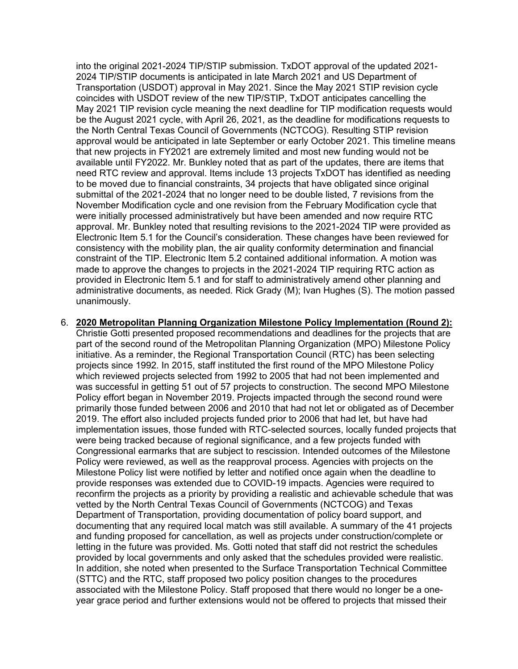into the original 2021-2024 TIP/STIP submission. TxDOT approval of the updated 2021- 2024 TIP/STIP documents is anticipated in late March 2021 and US Department of Transportation (USDOT) approval in May 2021. Since the May 2021 STIP revision cycle coincides with USDOT review of the new TIP/STIP, TxDOT anticipates cancelling the May 2021 TIP revision cycle meaning the next deadline for TIP modification requests would be the August 2021 cycle, with April 26, 2021, as the deadline for modifications requests to the North Central Texas Council of Governments (NCTCOG). Resulting STIP revision approval would be anticipated in late September or early October 2021. This timeline means that new projects in FY2021 are extremely limited and most new funding would not be available until FY2022. Mr. Bunkley noted that as part of the updates, there are items that need RTC review and approval. Items include 13 projects TxDOT has identified as needing to be moved due to financial constraints, 34 projects that have obligated since original submittal of the 2021-2024 that no longer need to be double listed, 7 revisions from the November Modification cycle and one revision from the February Modification cycle that were initially processed administratively but have been amended and now require RTC approval. Mr. Bunkley noted that resulting revisions to the 2021-2024 TIP were provided as Electronic Item 5.1 for the Council's consideration. These changes have been reviewed for consistency with the mobility plan, the air quality conformity determination and financial constraint of the TIP. Electronic Item 5.2 contained additional information. A motion was made to approve the changes to projects in the 2021-2024 TIP requiring RTC action as provided in Electronic Item 5.1 and for staff to administratively amend other planning and administrative documents, as needed. Rick Grady (M); Ivan Hughes (S). The motion passed unanimously.

6. **2020 Metropolitan Planning Organization Milestone Policy Implementation (Round 2):** Christie Gotti presented proposed recommendations and deadlines for the projects that are part of the second round of the Metropolitan Planning Organization (MPO) Milestone Policy initiative. As a reminder, the Regional Transportation Council (RTC) has been selecting projects since 1992. In 2015, staff instituted the first round of the MPO Milestone Policy which reviewed projects selected from 1992 to 2005 that had not been implemented and was successful in getting 51 out of 57 projects to construction. The second MPO Milestone Policy effort began in November 2019. Projects impacted through the second round were primarily those funded between 2006 and 2010 that had not let or obligated as of December 2019. The effort also included projects funded prior to 2006 that had let, but have had implementation issues, those funded with RTC-selected sources, locally funded projects that were being tracked because of regional significance, and a few projects funded with Congressional earmarks that are subject to rescission. Intended outcomes of the Milestone Policy were reviewed, as well as the reapproval process. Agencies with projects on the Milestone Policy list were notified by letter and notified once again when the deadline to provide responses was extended due to COVID-19 impacts. Agencies were required to reconfirm the projects as a priority by providing a realistic and achievable schedule that was vetted by the North Central Texas Council of Governments (NCTCOG) and Texas Department of Transportation, providing documentation of policy board support, and documenting that any required local match was still available. A summary of the 41 projects and funding proposed for cancellation, as well as projects under construction/complete or letting in the future was provided. Ms. Gotti noted that staff did not restrict the schedules provided by local governments and only asked that the schedules provided were realistic. In addition, she noted when presented to the Surface Transportation Technical Committee (STTC) and the RTC, staff proposed two policy position changes to the procedures associated with the Milestone Policy. Staff proposed that there would no longer be a oneyear grace period and further extensions would not be offered to projects that missed their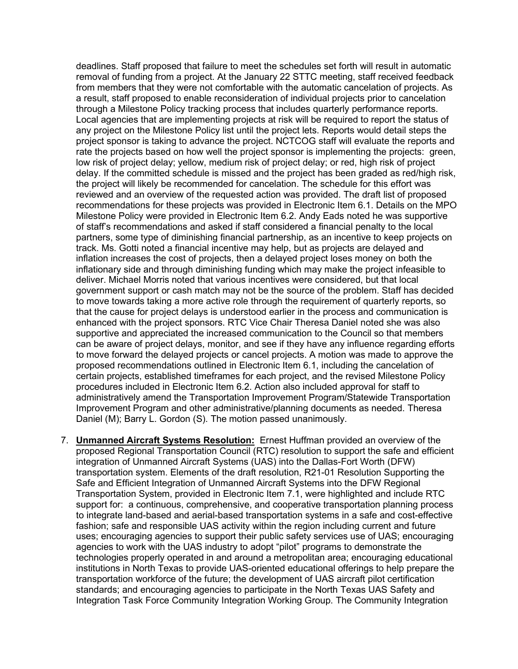deadlines. Staff proposed that failure to meet the schedules set forth will result in automatic removal of funding from a project. At the January 22 STTC meeting, staff received feedback from members that they were not comfortable with the automatic cancelation of projects. As a result, staff proposed to enable reconsideration of individual projects prior to cancelation through a Milestone Policy tracking process that includes quarterly performance reports. Local agencies that are implementing projects at risk will be required to report the status of any project on the Milestone Policy list until the project lets. Reports would detail steps the project sponsor is taking to advance the project. NCTCOG staff will evaluate the reports and rate the projects based on how well the project sponsor is implementing the projects: green, low risk of project delay; yellow, medium risk of project delay; or red, high risk of project delay. If the committed schedule is missed and the project has been graded as red/high risk, the project will likely be recommended for cancelation. The schedule for this effort was reviewed and an overview of the requested action was provided. The draft list of proposed recommendations for these projects was provided in Electronic Item 6.1. Details on the MPO Milestone Policy were provided in Electronic Item 6.2. Andy Eads noted he was supportive of staff's recommendations and asked if staff considered a financial penalty to the local partners, some type of diminishing financial partnership, as an incentive to keep projects on track. Ms. Gotti noted a financial incentive may help, but as projects are delayed and inflation increases the cost of projects, then a delayed project loses money on both the inflationary side and through diminishing funding which may make the project infeasible to deliver. Michael Morris noted that various incentives were considered, but that local government support or cash match may not be the source of the problem. Staff has decided to move towards taking a more active role through the requirement of quarterly reports, so that the cause for project delays is understood earlier in the process and communication is enhanced with the project sponsors. RTC Vice Chair Theresa Daniel noted she was also supportive and appreciated the increased communication to the Council so that members can be aware of project delays, monitor, and see if they have any influence regarding efforts to move forward the delayed projects or cancel projects. A motion was made to approve the proposed recommendations outlined in Electronic Item 6.1, including the cancelation of certain projects, established timeframes for each project, and the revised Milestone Policy procedures included in Electronic Item 6.2. Action also included approval for staff to administratively amend the Transportation Improvement Program/Statewide Transportation Improvement Program and other administrative/planning documents as needed. Theresa Daniel (M); Barry L. Gordon (S). The motion passed unanimously.

7. **Unmanned Aircraft Systems Resolution:** Ernest Huffman provided an overview of the proposed Regional Transportation Council (RTC) resolution to support the safe and efficient integration of Unmanned Aircraft Systems (UAS) into the Dallas-Fort Worth (DFW) transportation system. Elements of the draft resolution, R21-01 Resolution Supporting the Safe and Efficient Integration of Unmanned Aircraft Systems into the DFW Regional Transportation System, provided in Electronic Item 7.1, were highlighted and include RTC support for: a continuous, comprehensive, and cooperative transportation planning process to integrate land-based and aerial-based transportation systems in a safe and cost-effective fashion; safe and responsible UAS activity within the region including current and future uses; encouraging agencies to support their public safety services use of UAS; encouraging agencies to work with the UAS industry to adopt "pilot" programs to demonstrate the technologies properly operated in and around a metropolitan area; encouraging educational institutions in North Texas to provide UAS-oriented educational offerings to help prepare the transportation workforce of the future; the development of UAS aircraft pilot certification standards; and encouraging agencies to participate in the North Texas UAS Safety and Integration Task Force Community Integration Working Group. The Community Integration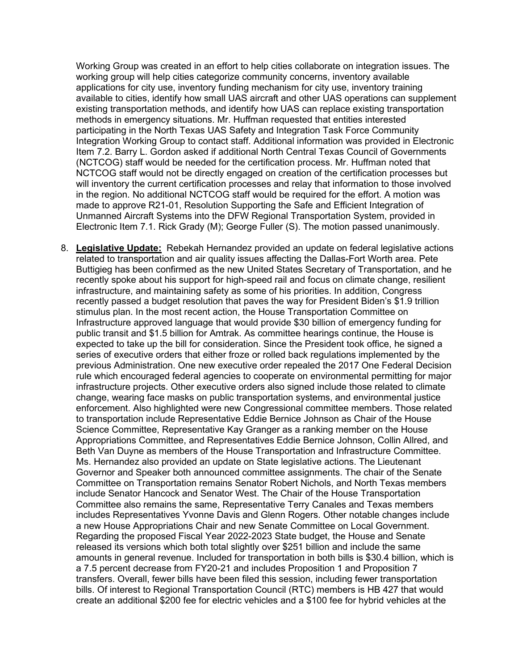Working Group was created in an effort to help cities collaborate on integration issues. The working group will help cities categorize community concerns, inventory available applications for city use, inventory funding mechanism for city use, inventory training available to cities, identify how small UAS aircraft and other UAS operations can supplement existing transportation methods, and identify how UAS can replace existing transportation methods in emergency situations. Mr. Huffman requested that entities interested participating in the North Texas UAS Safety and Integration Task Force Community Integration Working Group to contact staff. Additional information was provided in Electronic Item 7.2. Barry L. Gordon asked if additional North Central Texas Council of Governments (NCTCOG) staff would be needed for the certification process. Mr. Huffman noted that NCTCOG staff would not be directly engaged on creation of the certification processes but will inventory the current certification processes and relay that information to those involved in the region. No additional NCTCOG staff would be required for the effort. A motion was made to approve R21-01, Resolution Supporting the Safe and Efficient Integration of Unmanned Aircraft Systems into the DFW Regional Transportation System, provided in Electronic Item 7.1. Rick Grady (M); George Fuller (S). The motion passed unanimously.

8. **Legislative Update:** Rebekah Hernandez provided an update on federal legislative actions related to transportation and air quality issues affecting the Dallas-Fort Worth area. Pete Buttigieg has been confirmed as the new United States Secretary of Transportation, and he recently spoke about his support for high-speed rail and focus on climate change, resilient infrastructure, and maintaining safety as some of his priorities. In addition, Congress recently passed a budget resolution that paves the way for President Biden's \$1.9 trillion stimulus plan. In the most recent action, the House Transportation Committee on Infrastructure approved language that would provide \$30 billion of emergency funding for public transit and \$1.5 billion for Amtrak. As committee hearings continue, the House is expected to take up the bill for consideration. Since the President took office, he signed a series of executive orders that either froze or rolled back regulations implemented by the previous Administration. One new executive order repealed the 2017 One Federal Decision rule which encouraged federal agencies to cooperate on environmental permitting for major infrastructure projects. Other executive orders also signed include those related to climate change, wearing face masks on public transportation systems, and environmental justice enforcement. Also highlighted were new Congressional committee members. Those related to transportation include Representative Eddie Bernice Johnson as Chair of the House Science Committee, Representative Kay Granger as a ranking member on the House Appropriations Committee, and Representatives Eddie Bernice Johnson, Collin Allred, and Beth Van Duyne as members of the House Transportation and Infrastructure Committee. Ms. Hernandez also provided an update on State legislative actions. The Lieutenant Governor and Speaker both announced committee assignments. The chair of the Senate Committee on Transportation remains Senator Robert Nichols, and North Texas members include Senator Hancock and Senator West. The Chair of the House Transportation Committee also remains the same, Representative Terry Canales and Texas members includes Representatives Yvonne Davis and Glenn Rogers. Other notable changes include a new House Appropriations Chair and new Senate Committee on Local Government. Regarding the proposed Fiscal Year 2022-2023 State budget, the House and Senate released its versions which both total slightly over \$251 billion and include the same amounts in general revenue. Included for transportation in both bills is \$30.4 billion, which is a 7.5 percent decrease from FY20-21 and includes Proposition 1 and Proposition 7 transfers. Overall, fewer bills have been filed this session, including fewer transportation bills. Of interest to Regional Transportation Council (RTC) members is HB 427 that would create an additional \$200 fee for electric vehicles and a \$100 fee for hybrid vehicles at the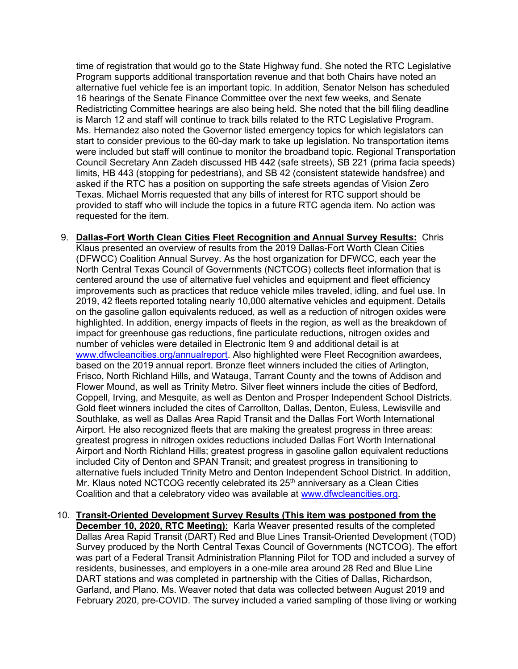time of registration that would go to the State Highway fund. She noted the RTC Legislative Program supports additional transportation revenue and that both Chairs have noted an alternative fuel vehicle fee is an important topic. In addition, Senator Nelson has scheduled 16 hearings of the Senate Finance Committee over the next few weeks, and Senate Redistricting Committee hearings are also being held. She noted that the bill filing deadline is March 12 and staff will continue to track bills related to the RTC Legislative Program. Ms. Hernandez also noted the Governor listed emergency topics for which legislators can start to consider previous to the 60-day mark to take up legislation. No transportation items were included but staff will continue to monitor the broadband topic. Regional Transportation Council Secretary Ann Zadeh discussed HB 442 (safe streets), SB 221 (prima facia speeds) limits, HB 443 (stopping for pedestrians), and SB 42 (consistent statewide handsfree) and asked if the RTC has a position on supporting the safe streets agendas of Vision Zero Texas. Michael Morris requested that any bills of interest for RTC support should be provided to staff who will include the topics in a future RTC agenda item. No action was requested for the item.

- 9. **Dallas-Fort Worth Clean Cities Fleet Recognition and Annual Survey Results:** Chris Klaus presented an overview of results from the 2019 Dallas-Fort Worth Clean Cities (DFWCC) Coalition Annual Survey. As the host organization for DFWCC, each year the North Central Texas Council of Governments (NCTCOG) collects fleet information that is centered around the use of alternative fuel vehicles and equipment and fleet efficiency improvements such as practices that reduce vehicle miles traveled, idling, and fuel use. In 2019, 42 fleets reported totaling nearly 10,000 alternative vehicles and equipment. Details on the gasoline gallon equivalents reduced, as well as a reduction of nitrogen oxides were highlighted. In addition, energy impacts of fleets in the region, as well as the breakdown of impact for greenhouse gas reductions, fine particulate reductions, nitrogen oxides and number of vehicles were detailed in Electronic Item 9 and additional detail is at [www.dfwcleancities.org/annualreport.](http://www.dfwcleancities.org/annualreport) Also highlighted were Fleet Recognition awardees, based on the 2019 annual report. Bronze fleet winners included the cities of Arlington, Frisco, North Richland Hills, and Watauga, Tarrant County and the towns of Addison and Flower Mound, as well as Trinity Metro. Silver fleet winners include the cities of Bedford, Coppell, Irving, and Mesquite, as well as Denton and Prosper Independent School Districts. Gold fleet winners included the cites of Carrollton, Dallas, Denton, Euless, Lewisville and Southlake, as well as Dallas Area Rapid Transit and the Dallas Fort Worth International Airport. He also recognized fleets that are making the greatest progress in three areas: greatest progress in nitrogen oxides reductions included Dallas Fort Worth International Airport and North Richland Hills; greatest progress in gasoline gallon equivalent reductions included City of Denton and SPAN Transit; and greatest progress in transitioning to alternative fuels included Trinity Metro and Denton Independent School District. In addition, Mr. Klaus noted NCTCOG recently celebrated its  $25<sup>th</sup>$  anniversary as a Clean Cities Coalition and that a celebratory video was available at [www.dfwcleancities.org.](http://www.dfwcleancities.org/)
- 10. **Transit-Oriented Development Survey Results (This item was postponed from the December 10, 2020, RTC Meeting):** Karla Weaver presented results of the completed Dallas Area Rapid Transit (DART) Red and Blue Lines Transit-Oriented Development (TOD) Survey produced by the North Central Texas Council of Governments (NCTCOG). The effort was part of a Federal Transit Administration Planning Pilot for TOD and included a survey of residents, businesses, and employers in a one-mile area around 28 Red and Blue Line DART stations and was completed in partnership with the Cities of Dallas, Richardson, Garland, and Plano. Ms. Weaver noted that data was collected between August 2019 and February 2020, pre-COVID. The survey included a varied sampling of those living or working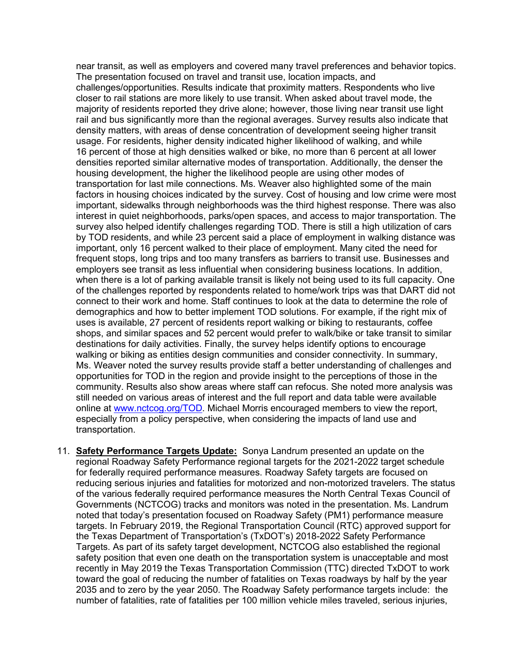near transit, as well as employers and covered many travel preferences and behavior topics. The presentation focused on travel and transit use, location impacts, and challenges/opportunities. Results indicate that proximity matters. Respondents who live closer to rail stations are more likely to use transit. When asked about travel mode, the majority of residents reported they drive alone; however, those living near transit use light rail and bus significantly more than the regional averages. Survey results also indicate that density matters, with areas of dense concentration of development seeing higher transit usage. For residents, higher density indicated higher likelihood of walking, and while 16 percent of those at high densities walked or bike, no more than 6 percent at all lower densities reported similar alternative modes of transportation. Additionally, the denser the housing development, the higher the likelihood people are using other modes of transportation for last mile connections. Ms. Weaver also highlighted some of the main factors in housing choices indicated by the survey. Cost of housing and low crime were most important, sidewalks through neighborhoods was the third highest response. There was also interest in quiet neighborhoods, parks/open spaces, and access to major transportation. The survey also helped identify challenges regarding TOD. There is still a high utilization of cars by TOD residents, and while 23 percent said a place of employment in walking distance was important, only 16 percent walked to their place of employment. Many cited the need for frequent stops, long trips and too many transfers as barriers to transit use. Businesses and employers see transit as less influential when considering business locations. In addition, when there is a lot of parking available transit is likely not being used to its full capacity. One of the challenges reported by respondents related to home/work trips was that DART did not connect to their work and home. Staff continues to look at the data to determine the role of demographics and how to better implement TOD solutions. For example, if the right mix of uses is available, 27 percent of residents report walking or biking to restaurants, coffee shops, and similar spaces and 52 percent would prefer to walk/bike or take transit to similar destinations for daily activities. Finally, the survey helps identify options to encourage walking or biking as entities design communities and consider connectivity. In summary, Ms. Weaver noted the survey results provide staff a better understanding of challenges and opportunities for TOD in the region and provide insight to the perceptions of those in the community. Results also show areas where staff can refocus. She noted more analysis was still needed on various areas of interest and the full report and data table were available online at [www.nctcog.org/TOD.](http://www.nctcog.org/TOD) Michael Morris encouraged members to view the report, especially from a policy perspective, when considering the impacts of land use and transportation.

11. **Safety Performance Targets Update:** Sonya Landrum presented an update on the regional Roadway Safety Performance regional targets for the 2021-2022 target schedule for federally required performance measures. Roadway Safety targets are focused on reducing serious injuries and fatalities for motorized and non-motorized travelers. The status of the various federally required performance measures the North Central Texas Council of Governments (NCTCOG) tracks and monitors was noted in the presentation. Ms. Landrum noted that today's presentation focused on Roadway Safety (PM1) performance measure targets. In February 2019, the Regional Transportation Council (RTC) approved support for the Texas Department of Transportation's (TxDOT's) 2018-2022 Safety Performance Targets. As part of its safety target development, NCTCOG also established the regional safety position that even one death on the transportation system is unacceptable and most recently in May 2019 the Texas Transportation Commission (TTC) directed TxDOT to work toward the goal of reducing the number of fatalities on Texas roadways by half by the year 2035 and to zero by the year 2050. The Roadway Safety performance targets include: the number of fatalities, rate of fatalities per 100 million vehicle miles traveled, serious injuries,